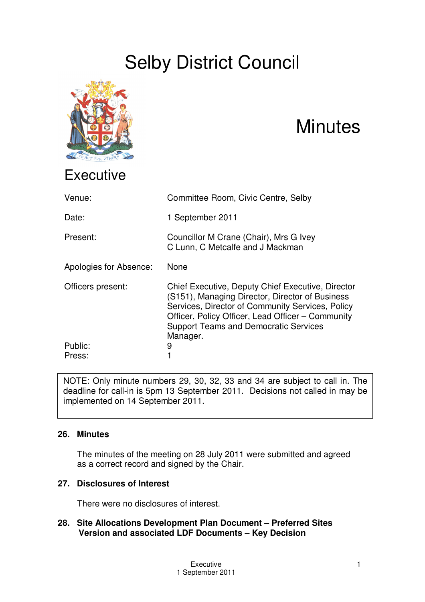# Selby District Council



## **Minutes**

| Venue:                 | Committee Room, Civic Centre, Selby                                                                                                                                                                                                                                       |
|------------------------|---------------------------------------------------------------------------------------------------------------------------------------------------------------------------------------------------------------------------------------------------------------------------|
| Date:                  | 1 September 2011                                                                                                                                                                                                                                                          |
| Present:               | Councillor M Crane (Chair), Mrs G Ivey<br>C Lunn, C Metcalfe and J Mackman                                                                                                                                                                                                |
| Apologies for Absence: | None                                                                                                                                                                                                                                                                      |
| Officers present:      | Chief Executive, Deputy Chief Executive, Director<br>(S151), Managing Director, Director of Business<br>Services, Director of Community Services, Policy<br>Officer, Policy Officer, Lead Officer - Community<br><b>Support Teams and Democratic Services</b><br>Manager. |
| Public:<br>Press:      | 9                                                                                                                                                                                                                                                                         |

NOTE: Only minute numbers 29, 30, 32, 33 and 34 are subject to call in. The deadline for call-in is 5pm 13 September 2011. Decisions not called in may be implemented on 14 September 2011.

## **26. Minutes**

The minutes of the meeting on 28 July 2011 were submitted and agreed as a correct record and signed by the Chair.

## **27. Disclosures of Interest**

There were no disclosures of interest.

### **28. Site Allocations Development Plan Document – Preferred Sites Version and associated LDF Documents – Key Decision**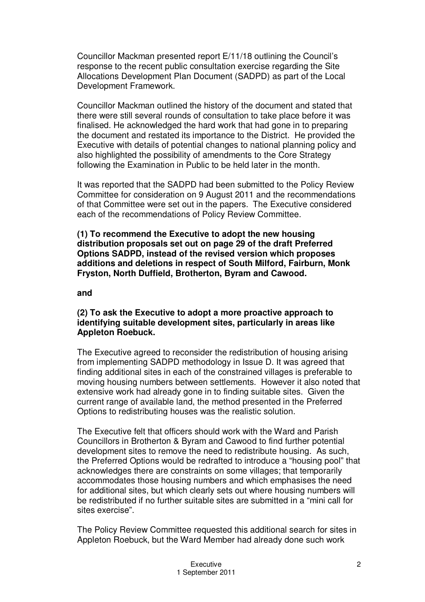Councillor Mackman presented report E/11/18 outlining the Council's response to the recent public consultation exercise regarding the Site Allocations Development Plan Document (SADPD) as part of the Local Development Framework.

Councillor Mackman outlined the history of the document and stated that there were still several rounds of consultation to take place before it was finalised. He acknowledged the hard work that had gone in to preparing the document and restated its importance to the District. He provided the Executive with details of potential changes to national planning policy and also highlighted the possibility of amendments to the Core Strategy following the Examination in Public to be held later in the month.

It was reported that the SADPD had been submitted to the Policy Review Committee for consideration on 9 August 2011 and the recommendations of that Committee were set out in the papers. The Executive considered each of the recommendations of Policy Review Committee.

**(1) To recommend the Executive to adopt the new housing distribution proposals set out on page 29 of the draft Preferred Options SADPD, instead of the revised version which proposes additions and deletions in respect of South Milford, Fairburn, Monk Fryston, North Duffield, Brotherton, Byram and Cawood.**

#### **and**

#### **(2) To ask the Executive to adopt a more proactive approach to identifying suitable development sites, particularly in areas like Appleton Roebuck.**

The Executive agreed to reconsider the redistribution of housing arising from implementing SADPD methodology in Issue D. It was agreed that finding additional sites in each of the constrained villages is preferable to moving housing numbers between settlements. However it also noted that extensive work had already gone in to finding suitable sites. Given the current range of available land, the method presented in the Preferred Options to redistributing houses was the realistic solution.

The Executive felt that officers should work with the Ward and Parish Councillors in Brotherton & Byram and Cawood to find further potential development sites to remove the need to redistribute housing. As such, the Preferred Options would be redrafted to introduce a "housing pool" that acknowledges there are constraints on some villages; that temporarily accommodates those housing numbers and which emphasises the need for additional sites, but which clearly sets out where housing numbers will be redistributed if no further suitable sites are submitted in a "mini call for sites exercise".

The Policy Review Committee requested this additional search for sites in Appleton Roebuck, but the Ward Member had already done such work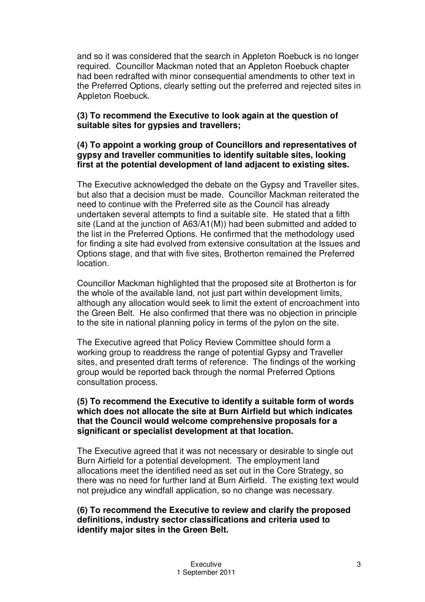and so it was considered that the search in Appleton Roebuck is no longer required. Councillor Mackman noted that an Appleton Roebuck chapter had been redrafted with minor consequential amendments to other text in the Preferred Options, clearly setting out the preferred and rejected sites in Appleton Roebuck.

#### **(3) To recommend the Executive to look again at the question of suitable sites for gypsies and travellers;**

#### **(4) To appoint a working group of Councillors and representatives of gypsy and traveller communities to identify suitable sites, looking first at the potential development of land adjacent to existing sites.**

The Executive acknowledged the debate on the Gypsy and Traveller sites, but also that a decision must be made. Councillor Mackman reiterated the need to continue with the Preferred site as the Council has already undertaken several attempts to find a suitable site. He stated that a fifth site (Land at the junction of A63/A1(M)) had been submitted and added to the list in the Preferred Options. He confirmed that the methodology used for finding a site had evolved from extensive consultation at the Issues and Options stage, and that with five sites, Brotherton remained the Preferred location.

Councillor Mackman highlighted that the proposed site at Brotherton is for the whole of the available land, not just part within development limits, although any allocation would seek to limit the extent of encroachment into the Green Belt. He also confirmed that there was no objection in principle to the site in national planning policy in terms of the pylon on the site.

The Executive agreed that Policy Review Committee should form a working group to readdress the range of potential Gypsy and Traveller sites, and presented draft terms of reference. The findings of the working group would be reported back through the normal Preferred Options consultation process.

#### **(5) To recommend the Executive to identify a suitable form of words which does not allocate the site at Burn Airfield but which indicates that the Council would welcome comprehensive proposals for a significant or specialist development at that location.**

The Executive agreed that it was not necessary or desirable to single out Burn Airfield for a potential development. The employment land allocations meet the identified need as set out in the Core Strategy, so there was no need for further land at Burn Airfield. The existing text would not prejudice any windfall application, so no change was necessary.

#### **(6) To recommend the Executive to review and clarify the proposed definitions, industry sector classifications and criteria used to identify major sites in the Green Belt.**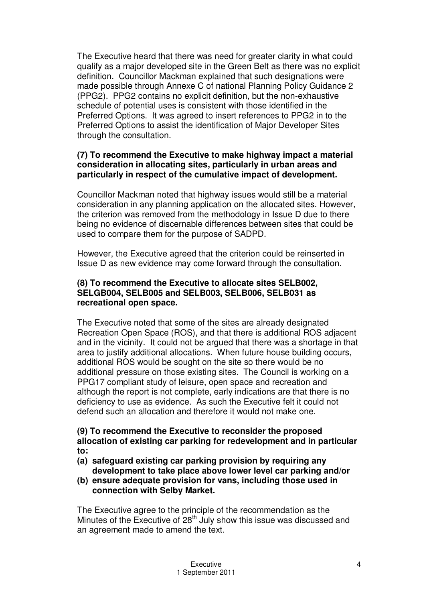The Executive heard that there was need for greater clarity in what could qualify as a major developed site in the Green Belt as there was no explicit definition. Councillor Mackman explained that such designations were made possible through Annexe C of national Planning Policy Guidance 2 (PPG2). PPG2 contains no explicit definition, but the non-exhaustive schedule of potential uses is consistent with those identified in the Preferred Options. It was agreed to insert references to PPG2 in to the Preferred Options to assist the identification of Major Developer Sites through the consultation.

#### **(7) To recommend the Executive to make highway impact a material consideration in allocating sites, particularly in urban areas and particularly in respect of the cumulative impact of development.**

Councillor Mackman noted that highway issues would still be a material consideration in any planning application on the allocated sites. However, the criterion was removed from the methodology in Issue D due to there being no evidence of discernable differences between sites that could be used to compare them for the purpose of SADPD.

However, the Executive agreed that the criterion could be reinserted in Issue D as new evidence may come forward through the consultation.

#### **(8) To recommend the Executive to allocate sites SELB002, SELGB004, SELB005 and SELB003, SELB006, SELB031 as recreational open space.**

The Executive noted that some of the sites are already designated Recreation Open Space (ROS), and that there is additional ROS adjacent and in the vicinity. It could not be argued that there was a shortage in that area to justify additional allocations. When future house building occurs, additional ROS would be sought on the site so there would be no additional pressure on those existing sites. The Council is working on a PPG17 compliant study of leisure, open space and recreation and although the report is not complete, early indications are that there is no deficiency to use as evidence. As such the Executive felt it could not defend such an allocation and therefore it would not make one.

#### **(9) To recommend the Executive to reconsider the proposed allocation of existing car parking for redevelopment and in particular to:**

- **(a) safeguard existing car parking provision by requiring any development to take place above lower level car parking and/or**
- **(b) ensure adequate provision for vans, including those used in connection with Selby Market.**

The Executive agree to the principle of the recommendation as the Minutes of the Executive of 28<sup>th</sup> July show this issue was discussed and an agreement made to amend the text.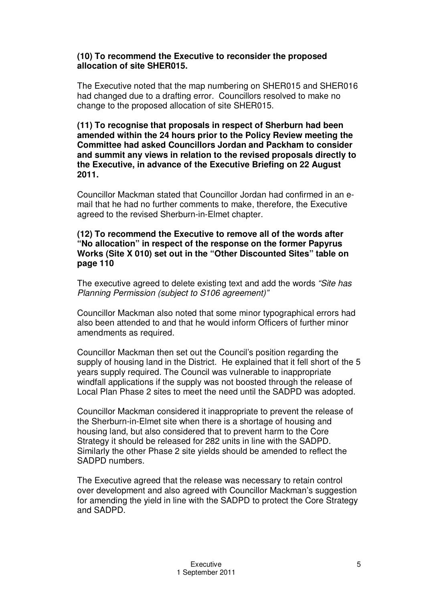#### **(10) To recommend the Executive to reconsider the proposed allocation of site SHER015.**

The Executive noted that the map numbering on SHER015 and SHER016 had changed due to a drafting error. Councillors resolved to make no change to the proposed allocation of site SHER015.

**(11) To recognise that proposals in respect of Sherburn had been amended within the 24 hours prior to the Policy Review meeting the Committee had asked Councillors Jordan and Packham to consider and summit any views in relation to the revised proposals directly to the Executive, in advance of the Executive Briefing on 22 August 2011.**

Councillor Mackman stated that Councillor Jordan had confirmed in an email that he had no further comments to make, therefore, the Executive agreed to the revised Sherburn-in-Elmet chapter.

#### **(12) To recommend the Executive to remove all of the words after "No allocation" in respect of the response on the former Papyrus Works (Site X 010) set out in the "Other Discounted Sites" table on page 110**

The executive agreed to delete existing text and add the words *"Site has Planning Permission (subject to S106 agreement)"*

Councillor Mackman also noted that some minor typographical errors had also been attended to and that he would inform Officers of further minor amendments as required.

Councillor Mackman then set out the Council's position regarding the supply of housing land in the District. He explained that it fell short of the 5 years supply required. The Council was vulnerable to inappropriate windfall applications if the supply was not boosted through the release of Local Plan Phase 2 sites to meet the need until the SADPD was adopted.

Councillor Mackman considered it inappropriate to prevent the release of the Sherburn-in-Elmet site when there is a shortage of housing and housing land, but also considered that to prevent harm to the Core Strategy it should be released for 282 units in line with the SADPD. Similarly the other Phase 2 site yields should be amended to reflect the SADPD numbers.

The Executive agreed that the release was necessary to retain control over development and also agreed with Councillor Mackman's suggestion for amending the yield in line with the SADPD to protect the Core Strategy and SADPD.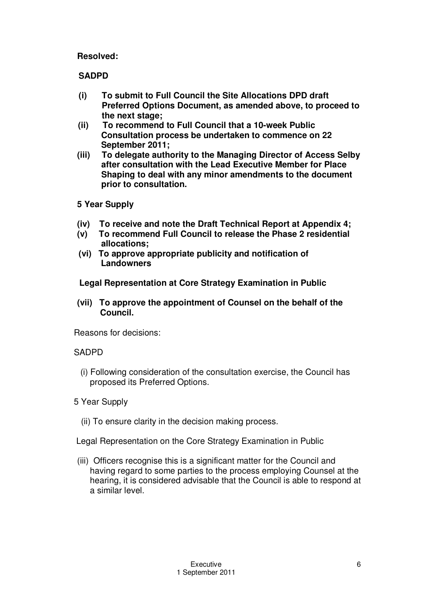### **Resolved:**

## **SADPD**

- **(i) To submit to Full Council the Site Allocations DPD draft Preferred Options Document, as amended above, to proceed to the next stage;**
- **(ii) To recommend to Full Council that a 10-week Public Consultation process be undertaken to commence on 22 September 2011;**
- **(iii) To delegate authority to the Managing Director of Access Selby after consultation with the Lead Executive Member for Place Shaping to deal with any minor amendments to the document prior to consultation.**

### **5 Year Supply**

- **(iv) To receive and note the Draft Technical Report at Appendix 4;**
- **(v) To recommend Full Council to release the Phase 2 residential allocations;**
- **(vi) To approve appropriate publicity and notification of Landowners**

**Legal Representation at Core Strategy Examination in Public**

**(vii) To approve the appointment of Counsel on the behalf of the Council.**

Reasons for decisions:

## SADPD

- (i) Following consideration of the consultation exercise, the Council has proposed its Preferred Options.
- 5 Year Supply
	- (ii) To ensure clarity in the decision making process.
- Legal Representation on the Core Strategy Examination in Public
- (iii) Officers recognise this is a significant matter for the Council and having regard to some parties to the process employing Counsel at the hearing, it is considered advisable that the Council is able to respond at a similar level.